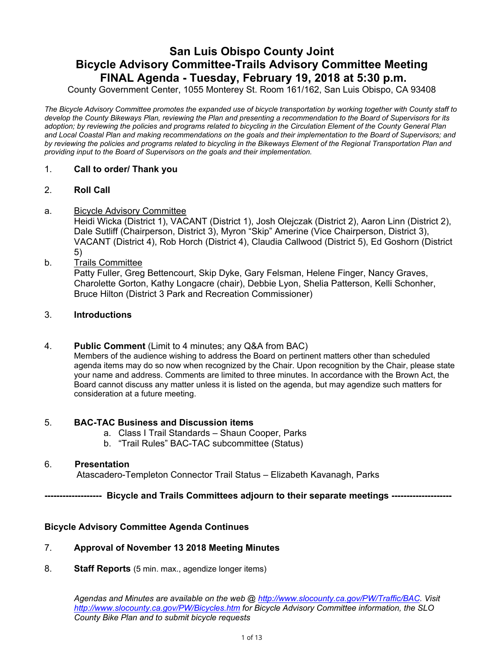# **San Luis Obispo County Joint Bicycle Advisory Committee-Trails Advisory Committee Meeting FINAL Agenda - Tuesday, February 19, 2018 at 5:30 p.m.**

County Government Center, 1055 Monterey St. Room 161/162, San Luis Obispo, CA 93408

*The Bicycle Advisory Committee promotes the expanded use of bicycle transportation by working together with County staff to develop the County Bikeways Plan, reviewing the Plan and presenting a recommendation to the Board of Supervisors for its adoption; by reviewing the policies and programs related to bicycling in the Circulation Element of the County General Plan and Local Coastal Plan and making recommendations on the goals and their implementation to the Board of Supervisors; and by reviewing the policies and programs related to bicycling in the Bikeways Element of the Regional Transportation Plan and providing input to the Board of Supervisors on the goals and their implementation.*

#### 1. **Call to order/ Thank you**

#### 2. **Roll Call**

#### a. Bicycle Advisory Committee

Heidi Wicka (District 1), VACANT (District 1), Josh Olejczak (District 2), Aaron Linn (District 2), Dale Sutliff (Chairperson, District 3), Myron "Skip" Amerine (Vice Chairperson, District 3), VACANT (District 4), Rob Horch (District 4), Claudia Callwood (District 5), Ed Goshorn (District 5)

b. Trails Committee

Patty Fuller, Greg Bettencourt, Skip Dyke, Gary Felsman, Helene Finger, Nancy Graves, Charolette Gorton, Kathy Longacre (chair), Debbie Lyon, Shelia Patterson, Kelli Schonher, Bruce Hilton (District 3 Park and Recreation Commissioner)

#### 3. **Introductions**

#### 4. **Public Comment** (Limit to 4 minutes; any Q&A from BAC)

Members of the audience wishing to address the Board on pertinent matters other than scheduled agenda items may do so now when recognized by the Chair. Upon recognition by the Chair, please state your name and address. Comments are limited to three minutes. In accordance with the Brown Act, the Board cannot discuss any matter unless it is listed on the agenda, but may agendize such matters for consideration at a future meeting.

#### 5. **BAC-TAC Business and Discussion items**

- a. Class I Trail Standards Shaun Cooper, Parks
- b. "Trail Rules" BAC-TAC subcommittee (Status)

#### 6. **Presentation**

Atascadero-Templeton Connector Trail Status – Elizabeth Kavanagh, Parks

**------------------- Bicycle and Trails Committees adjourn to their separate meetings --------------------** 

#### **Bicycle Advisory Committee Agenda Continues**

#### 7. **Approval of November 13 2018 Meeting Minutes**

8. **Staff Reports** (5 min. max., agendize longer items)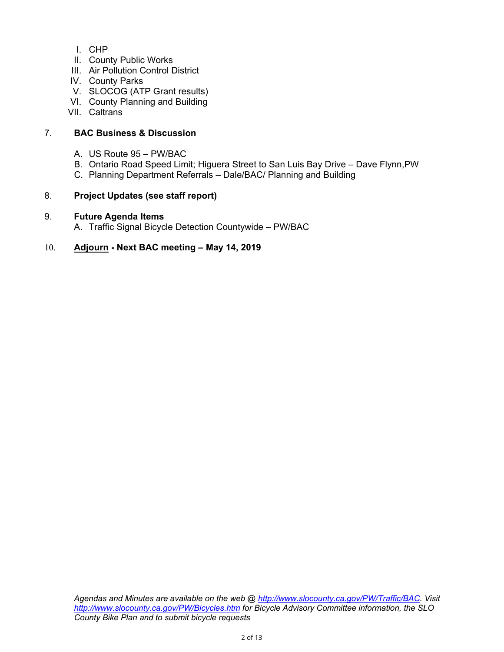- I. CHP
- II. County Public Works
- III. Air Pollution Control District
- IV. County Parks
- V. SLOCOG (ATP Grant results)
- VI. County Planning and Building
- VII. Caltrans

## 7. **BAC Business & Discussion**

- A. US Route 95 PW/BAC
- B. Ontario Road Speed Limit; Higuera Street to San Luis Bay Drive Dave Flynn,PW
- C. Planning Department Referrals Dale/BAC/ Planning and Building

## 8. **Project Updates (see staff report)**

## 9. **Future Agenda Items**

A. Traffic Signal Bicycle Detection Countywide – PW/BAC

## 10. **Adjourn - Next BAC meeting – May 14, 2019**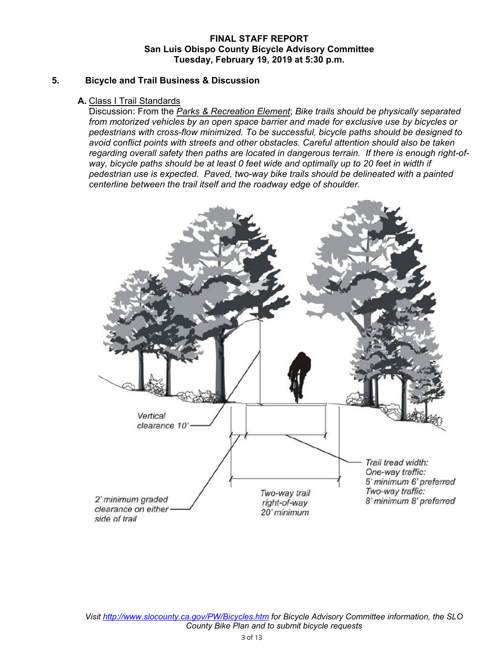#### **FINAL STAFF REPORT San Luis Obispo County Bicycle Advisory Committee Tuesday, February 19, 2019 at 5:30 p.m.**

#### **5. Bicycle and Trail Business & Discussion**

#### **A.** Class I Trail Standards

Discussion: From the *Parks & Recreation Element*; *Bike trails should be physically separated from motorized vehicles by an open space barrier and made for exclusive use by bicycles or pedestrians with cross-flow minimized. To be successful, bicycle paths should be designed to avoid conflict points with streets and other obstacles. Careful attention should also be taken regarding overall safety then paths are located in dangerous terrain. If there is enough right-of*way, bicycle paths should be at least 0 feet wide and optimally up to 20 feet in width if *pedestrian use is expected. Paved, two-way bike trails should be delineated with a painted centerline between the trail itself and the roadway edge of shoulder.*

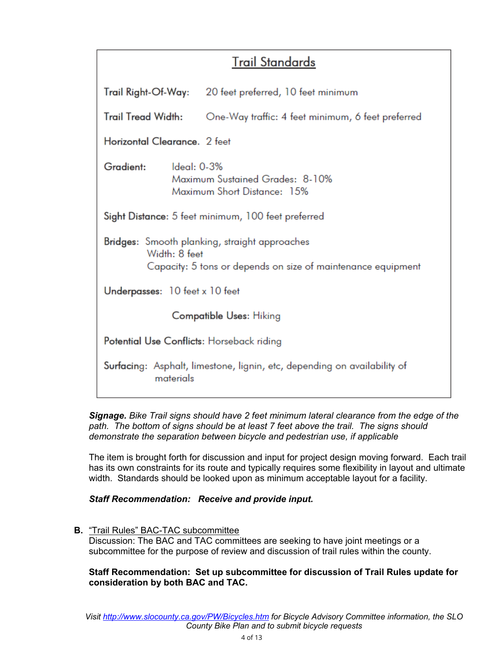# **Trail Standards**

| Trail Right-Of-Way:                       |               | 20 feet preferred, 10 feet minimum                                                                            |  |  |  |  |  |  |  |  |
|-------------------------------------------|---------------|---------------------------------------------------------------------------------------------------------------|--|--|--|--|--|--|--|--|
| <b>Trail Tread Width:</b>                 |               | One-Way traffic: 4 feet minimum, 6 feet preferred                                                             |  |  |  |  |  |  |  |  |
| Horizontal Clearance. 2 feet              |               |                                                                                                               |  |  |  |  |  |  |  |  |
| Gradient:                                 | Ideal: 0-3%   | Maximum Sustained Grades: 8-10%<br>Maximum Short Distance: 15%                                                |  |  |  |  |  |  |  |  |
|                                           |               | Sight Distance: 5 feet minimum, 100 feet preferred                                                            |  |  |  |  |  |  |  |  |
|                                           | Width: 8 feet | Bridges: Smooth planking, straight approaches<br>Capacity: 5 tons or depends on size of maintenance equipment |  |  |  |  |  |  |  |  |
| Underpasses: 10 feet x 10 feet            |               |                                                                                                               |  |  |  |  |  |  |  |  |
| <b>Compatible Uses: Hiking</b>            |               |                                                                                                               |  |  |  |  |  |  |  |  |
| Potential Use Conflicts: Horseback riding |               |                                                                                                               |  |  |  |  |  |  |  |  |
|                                           | materials     | Surfacing: Asphalt, limestone, lignin, etc, depending on availability of                                      |  |  |  |  |  |  |  |  |

#### *Signage. Bike Trail signs should have 2 feet minimum lateral clearance from the edge of the path. The bottom of signs should be at least 7 feet above the trail. The signs should demonstrate the separation between bicycle and pedestrian use, if applicable*

The item is brought forth for discussion and input for project design moving forward. Each trail has its own constraints for its route and typically requires some flexibility in layout and ultimate width. Standards should be looked upon as minimum acceptable layout for a facility.

## *Staff Recommendation: Receive and provide input.*

## **B.** "Trail Rules" BAC-TAC subcommittee

Discussion: The BAC and TAC committees are seeking to have joint meetings or a subcommittee for the purpose of review and discussion of trail rules within the county.

## **Staff Recommendation: Set up subcommittee for discussion of Trail Rules update for consideration by both BAC and TAC.**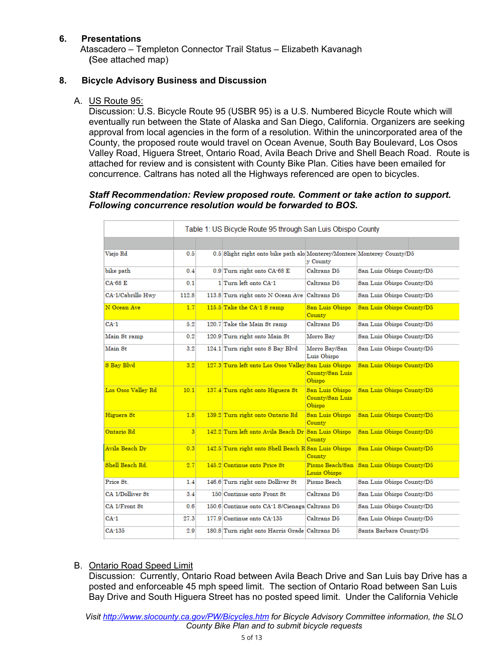## **6. Presentations**

Atascadero – Templeton Connector Trail Status – Elizabeth Kavanagh **(**See attached map)

## **8. Bicycle Advisory Business and Discussion**

## A. US Route 95:

Discussion: U.S. Bicycle Route 95 (USBR 95) is a [U.S. Numbered Bicycle Route](https://en.wikipedia.org/wiki/United_States_Numbered_Bicycle_Routes) which will eventually run between the State of [Alaska](https://en.wikipedia.org/wiki/Alaska) and [San Diego, California.](https://en.wikipedia.org/wiki/San_Diego,_California) Organizers are seeking approval from local agencies in the form of a resolution. Within the unincorporated area of the County, the proposed route would travel on Ocean Avenue, South Bay Boulevard, Los Osos Valley Road, Higuera Street, Ontario Road, Avila Beach Drive and Shell Beach Road. Route is attached for review and is consistent with County Bike Plan. Cities have been emailed for concurrence. Caltrans has noted all the Highways referenced are open to bicycles.

#### *Staff Recommendation: Review proposed route. Comment or take action to support. Following concurrence resolution would be forwarded to BOS.*

|                    | Table 1: US Bicycle Route 95 through San Luis Obispo County |  |                                                                         |                                              |                                           |  |  |  |  |  |  |  |
|--------------------|-------------------------------------------------------------|--|-------------------------------------------------------------------------|----------------------------------------------|-------------------------------------------|--|--|--|--|--|--|--|
|                    |                                                             |  |                                                                         |                                              |                                           |  |  |  |  |  |  |  |
| Viejo Rd           | 0.5                                                         |  | 0.5 Slight right onto bike path alo Monterey/Montere Monterey County/D5 | y County                                     |                                           |  |  |  |  |  |  |  |
| bike path          | 0.4                                                         |  | 0.9 Turn right onto CA-68 E                                             | Caltrans D5                                  | San Luis Obispo County/D5                 |  |  |  |  |  |  |  |
| <b>CA-68 E</b>     | 0.1                                                         |  | 1 Turn left onto CA-1                                                   | Caltrans D5                                  | San Luis Obispo County/D5                 |  |  |  |  |  |  |  |
| CA-1/Cabrillo Hwy  | 112.8                                                       |  | 113.8 Turn right onto N Ocean Ave Caltrans D5                           |                                              | San Luis Obispo County/D5                 |  |  |  |  |  |  |  |
| N Ocean Ave        | 1.7                                                         |  | 115.5 Take the CA-1 S ramp                                              | San Luis Obispo<br>County                    | San Luis Obispo County/D5                 |  |  |  |  |  |  |  |
| CA-1               | 5.2                                                         |  | 120.7 Take the Main St ramp                                             | Caltrans D5                                  | San Luis Obispo County/D5                 |  |  |  |  |  |  |  |
| Main St ramp       | 0.2                                                         |  | 120.9 Turn right onto Main St                                           | Morro Bay                                    | San Luis Obispo County/D5                 |  |  |  |  |  |  |  |
| Main St            | 3.2                                                         |  | 124.1 Turn right onto S Bay Blvd                                        | Morro Bay/San<br>Luis Obispo                 | San Luis Obispo County/D5                 |  |  |  |  |  |  |  |
| S Bay Blvd         | 3.2                                                         |  | 127.3 Turn left onto Los Osos Valley San Luis Obispo                    | County/San Luis<br>Obispo                    | San Luis Obispo County/D5                 |  |  |  |  |  |  |  |
| Los Osos Valley Rd | 10.1                                                        |  | 137.4 Turn right onto Higuera St                                        | San Luis Obispo<br>County/San Luis<br>Obispo | San Luis Obispo County/D5                 |  |  |  |  |  |  |  |
| Higuera St         | 1.8                                                         |  | 139.2 Turn right onto Ontario Rd                                        | San Luis Obispo<br>County                    | San Luis Obispo County/D5                 |  |  |  |  |  |  |  |
| Ontario Rd         | 3 <sup>1</sup>                                              |  | 142.2 Turn left onto Avila Beach Dr San Luis Obispo                     | County                                       | San Luis Obispo County/D5                 |  |  |  |  |  |  |  |
| Avila Beach Dr     | 0.3                                                         |  | 142.5 Turn right onto Shell Beach R San Luis Obispo                     | County                                       | San Luis Obispo County/D5                 |  |  |  |  |  |  |  |
| Shell Beach Rd.    | 2.7                                                         |  | 145.2 Continue onto Price St                                            | Louis Obispo                                 | Pismo Beach/San San Luis Obispo County/D5 |  |  |  |  |  |  |  |
| Price St.          | 1.4                                                         |  | 146.6 Turn right onto Dolliver St                                       | Pismo Beach                                  | San Luis Obispo County/D5                 |  |  |  |  |  |  |  |
| CA 1/Dolliver St.  | 3.4                                                         |  | 150 Continue onto Front St.                                             | Caltrans D5                                  | San Luis Obispo County/D5                 |  |  |  |  |  |  |  |
| CA 1/Front St      | 0.6                                                         |  | 150.6 Continue onto CA-1 S/Cienaga Caltrans D5                          |                                              | San Luis Obispo County/D5                 |  |  |  |  |  |  |  |
| CA-1               | 27.3                                                        |  | 177.9 Continue onto CA-135                                              | Caltrans D5                                  | San Luis Obispo County/D5                 |  |  |  |  |  |  |  |
| CA-135             | 2.9                                                         |  | 180.8 Turn right onto Harris Grade Caltrans D5                          |                                              | Santa Barbara County/D5                   |  |  |  |  |  |  |  |

## B. Ontario Road Speed Limit

Discussion: Currently, Ontario Road between Avila Beach Drive and San Luis bay Drive has a posted and enforceable 45 mph speed limit. The section of Ontario Road between San Luis Bay Drive and South Higuera Street has no posted speed limit. Under the California Vehicle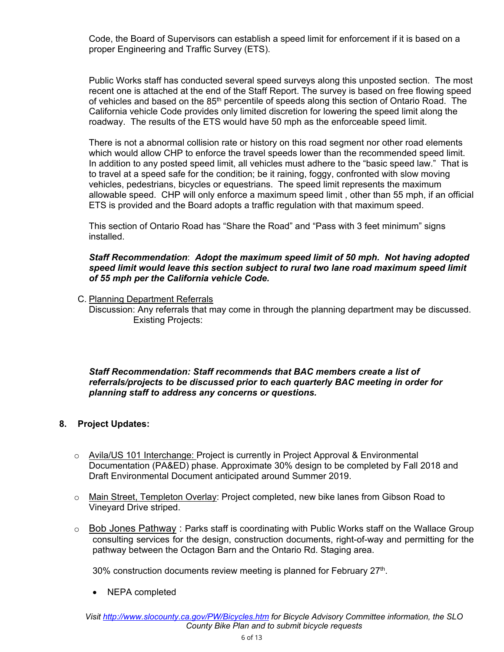Code, the Board of Supervisors can establish a speed limit for enforcement if it is based on a proper Engineering and Traffic Survey (ETS).

Public Works staff has conducted several speed surveys along this unposted section. The most recent one is attached at the end of the Staff Report. The survey is based on free flowing speed of vehicles and based on the 85<sup>th</sup> percentile of speeds along this section of Ontario Road. The California vehicle Code provides only limited discretion for lowering the speed limit along the roadway. The results of the ETS would have 50 mph as the enforceable speed limit.

There is not a abnormal collision rate or history on this road segment nor other road elements which would allow CHP to enforce the travel speeds lower than the recommended speed limit. In addition to any posted speed limit, all vehicles must adhere to the "basic speed law." That is to travel at a speed safe for the condition; be it raining, foggy, confronted with slow moving vehicles, pedestrians, bicycles or equestrians. The speed limit represents the maximum allowable speed. CHP will only enforce a maximum speed limit , other than 55 mph, if an official ETS is provided and the Board adopts a traffic regulation with that maximum speed.

This section of Ontario Road has "Share the Road" and "Pass with 3 feet minimum" signs installed.

#### *Staff Recommendation*: *Adopt the maximum speed limit of 50 mph. Not having adopted speed limit would leave this section subject to rural two lane road maximum speed limit of 55 mph per the California vehicle Code.*

C. Planning Department Referrals

Discussion: Any referrals that may come in through the planning department may be discussed. Existing Projects:

## *Staff Recommendation: Staff recommends that BAC members create a list of referrals/projects to be discussed prior to each quarterly BAC meeting in order for planning staff to address any concerns or questions.*

## **8. Project Updates:**

- o Avila/US 101 Interchange: Project is currently in Project Approval & Environmental Documentation (PA&ED) phase. Approximate 30% design to be completed by Fall 2018 and Draft Environmental Document anticipated around Summer 2019.
- Main Street, Templeton Overlay: Project completed, new bike lanes from Gibson Road to Vineyard Drive striped.
- $\circ$  Bob Jones Pathway : Parks staff is coordinating with Public Works staff on the Wallace Group consulting services for the design, construction documents, right-of-way and permitting for the pathway between the Octagon Barn and the Ontario Rd. Staging area.

30% construction documents review meeting is planned for February 27<sup>th</sup>.

• NEPA completed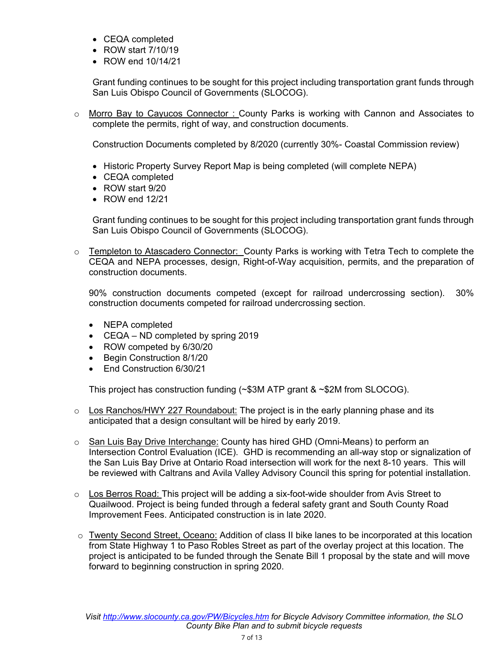- CEQA completed
- ROW start 7/10/19
- ROW end 10/14/21

Grant funding continues to be sought for this project including transportation grant funds through San Luis Obispo Council of Governments (SLOCOG).

o Morro Bay to Cayucos Connector : County Parks is working with Cannon and Associates to complete the permits, right of way, and construction documents.

Construction Documents completed by 8/2020 (currently 30%- Coastal Commission review)

- Historic Property Survey Report Map is being completed (will complete NEPA)
- CEQA completed
- ROW start 9/20
- ROW end 12/21

Grant funding continues to be sought for this project including transportation grant funds through San Luis Obispo Council of Governments (SLOCOG).

 $\circ$  Templeton to Atascadero Connector: County Parks is working with Tetra Tech to complete the CEQA and NEPA processes, design, Right-of-Way acquisition, permits, and the preparation of construction documents.

90% construction documents competed (except for railroad undercrossing section). 30% construction documents competed for railroad undercrossing section.

- NEPA completed
- CEQA ND completed by spring 2019
- ROW competed by 6/30/20
- Begin Construction 8/1/20
- Fnd Construction 6/30/21

This project has construction funding (~\$3M ATP grant & ~\$2M from SLOCOG).

- $\circ$  Los Ranchos/HWY 227 Roundabout: The project is in the early planning phase and its anticipated that a design consultant will be hired by early 2019.
- $\circ$  San Luis Bay Drive Interchange: County has hired GHD (Omni-Means) to perform an Intersection Control Evaluation (ICE). GHD is recommending an all-way stop or signalization of the San Luis Bay Drive at Ontario Road intersection will work for the next 8-10 years. This will be reviewed with Caltrans and Avila Valley Advisory Council this spring for potential installation.
- $\circ$  Los Berros Road: This project will be adding a six-foot-wide shoulder from Avis Street to Quailwood. Project is being funded through a federal safety grant and South County Road Improvement Fees. Anticipated construction is in late 2020.
- $\circ$  Twenty Second Street, Oceano: Addition of class II bike lanes to be incorporated at this location from State Highway 1 to Paso Robles Street as part of the overlay project at this location. The project is anticipated to be funded through the Senate Bill 1 proposal by the state and will move forward to beginning construction in spring 2020.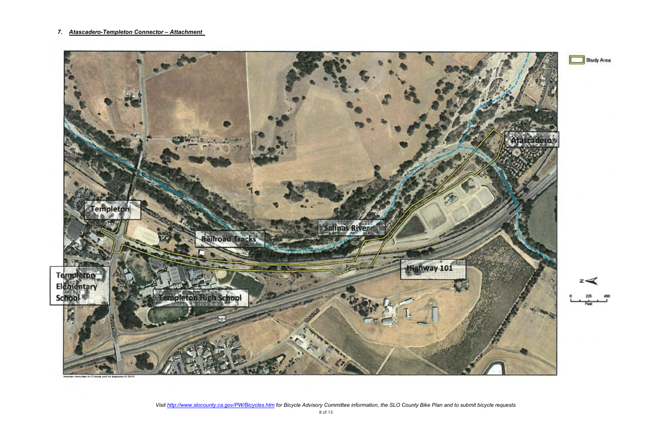## *7. Atascadero-Templeton Connector – Attachment*







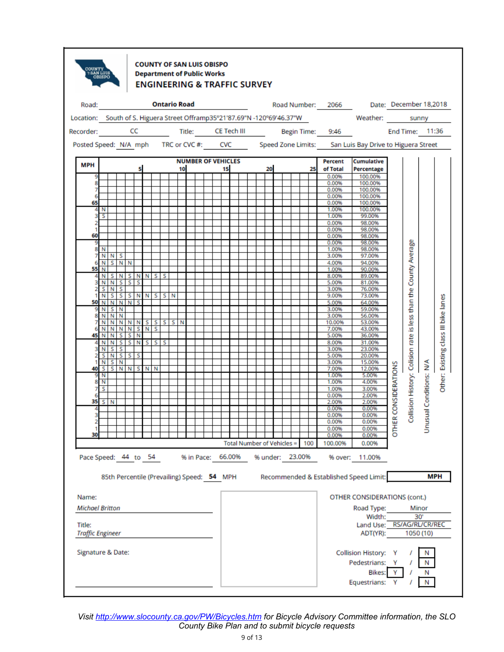

#### **COUNTY OF SAN LUIS OBISPO Department of Public Works ENGINEERING & TRAFFIC SURVEY**

|                                   | Road: <b>Ontario Road</b><br>Location: South of S. Higuera Street Offramp35°21'87.69"N -120°69'46.37"W Weather: sunny |                                 |   |             |   |                  |  |  |  |    |                                            |  |  |  |    |  | Road Number: 2066 Date: December 18,2018 |    |                                   |  |    |                                        |                                                                                                 |                      |                                                                  |                         |                                      |
|-----------------------------------|-----------------------------------------------------------------------------------------------------------------------|---------------------------------|---|-------------|---|------------------|--|--|--|----|--------------------------------------------|--|--|--|----|--|------------------------------------------|----|-----------------------------------|--|----|----------------------------------------|-------------------------------------------------------------------------------------------------|----------------------|------------------------------------------------------------------|-------------------------|--------------------------------------|
|                                   |                                                                                                                       |                                 |   |             |   |                  |  |  |  |    |                                            |  |  |  |    |  |                                          |    |                                   |  |    |                                        |                                                                                                 |                      |                                                                  |                         |                                      |
|                                   |                                                                                                                       |                                 |   |             |   |                  |  |  |  |    |                                            |  |  |  |    |  |                                          |    |                                   |  |    |                                        | Recorder: CC Title: CE Tech III Begin Time: 9:46 End Time: 11:36                                |                      |                                                                  |                         |                                      |
|                                   |                                                                                                                       |                                 |   |             |   |                  |  |  |  |    |                                            |  |  |  |    |  |                                          |    |                                   |  |    |                                        | Posted Speed: N/A mph TRC or CVC #: CVC Speed Zone Limits: San Luis Bay Drive to Higuera Street |                      |                                                                  |                         |                                      |
| <b>MPH</b>                        |                                                                                                                       |                                 |   |             |   |                  |  |  |  |    | <b>NUMBER OF VEHICLES</b>                  |  |  |  |    |  |                                          |    |                                   |  |    | Percent                                | <b>Cumulative</b>                                                                               |                      |                                                                  |                         |                                      |
|                                   |                                                                                                                       |                                 |   |             | 5 |                  |  |  |  | 10 |                                            |  |  |  | 15 |  |                                          | 20 |                                   |  | 25 | of Total<br>0.00%                      | Percentage<br>100.00%                                                                           |                      |                                                                  |                         |                                      |
|                                   |                                                                                                                       |                                 |   |             |   |                  |  |  |  |    |                                            |  |  |  |    |  |                                          |    |                                   |  |    | 0.00%                                  | 100.00%                                                                                         |                      |                                                                  |                         |                                      |
|                                   |                                                                                                                       |                                 |   |             |   |                  |  |  |  |    |                                            |  |  |  |    |  |                                          |    |                                   |  |    | 0.00%                                  | 100.00%                                                                                         |                      |                                                                  |                         |                                      |
|                                   |                                                                                                                       |                                 |   |             |   |                  |  |  |  |    |                                            |  |  |  |    |  |                                          |    |                                   |  |    | 0.00%                                  | 100.00%                                                                                         |                      |                                                                  |                         |                                      |
| 65                                | N                                                                                                                     |                                 |   |             |   |                  |  |  |  |    |                                            |  |  |  |    |  |                                          |    |                                   |  |    | 0.00%<br>1.00%                         | 100.00%<br>100.00%                                                                              |                      |                                                                  |                         |                                      |
| з                                 | s                                                                                                                     |                                 |   |             |   |                  |  |  |  |    |                                            |  |  |  |    |  |                                          |    |                                   |  |    | 1.00%                                  | 99.00%                                                                                          |                      |                                                                  |                         |                                      |
|                                   |                                                                                                                       |                                 |   |             |   |                  |  |  |  |    |                                            |  |  |  |    |  |                                          |    |                                   |  |    | 0.00%                                  | 98.00%                                                                                          |                      |                                                                  |                         |                                      |
|                                   |                                                                                                                       |                                 |   |             |   |                  |  |  |  |    |                                            |  |  |  |    |  |                                          |    |                                   |  |    | 0.00%                                  | 98.00%                                                                                          |                      |                                                                  |                         |                                      |
| 60                                |                                                                                                                       |                                 |   |             |   |                  |  |  |  |    |                                            |  |  |  |    |  |                                          |    |                                   |  |    | 0.00%                                  | 98.00%                                                                                          |                      |                                                                  |                         |                                      |
| 8                                 |                                                                                                                       |                                 |   |             |   |                  |  |  |  |    |                                            |  |  |  |    |  |                                          |    |                                   |  |    | 0.00%                                  | 98.00%<br>98.00%                                                                                |                      |                                                                  |                         |                                      |
| 7                                 | N                                                                                                                     | N N S                           |   |             |   |                  |  |  |  |    |                                            |  |  |  |    |  |                                          |    |                                   |  |    | 1.00%<br>3.00%                         | 97.00%                                                                                          |                      | Collision History: Colision rate is less than the County Average |                         |                                      |
|                                   |                                                                                                                       | N S N N                         |   |             |   |                  |  |  |  |    |                                            |  |  |  |    |  |                                          |    |                                   |  |    | 4.00%                                  | 94.00%                                                                                          |                      |                                                                  |                         |                                      |
| 55                                | N                                                                                                                     |                                 |   |             |   |                  |  |  |  |    |                                            |  |  |  |    |  |                                          |    |                                   |  |    | 1.00%                                  | 90.00%                                                                                          |                      |                                                                  |                         |                                      |
|                                   |                                                                                                                       |                                 |   |             |   | NSNSNNSS         |  |  |  |    |                                            |  |  |  |    |  |                                          |    |                                   |  |    | 8.00%                                  | 89.00%                                                                                          |                      |                                                                  |                         |                                      |
|                                   |                                                                                                                       | 3 N N S S S<br>S N S            |   |             |   |                  |  |  |  |    |                                            |  |  |  |    |  |                                          |    |                                   |  |    | 5.00%                                  | 81.00%                                                                                          |                      |                                                                  |                         |                                      |
|                                   |                                                                                                                       |                                 |   |             |   | NSSSNNSSN        |  |  |  |    |                                            |  |  |  |    |  |                                          |    |                                   |  |    | 3.00%<br>9.00%                         | 76.00%<br>73.00%                                                                                |                      |                                                                  |                         |                                      |
|                                   |                                                                                                                       | 50 N N N N                      |   |             | s |                  |  |  |  |    |                                            |  |  |  |    |  |                                          |    |                                   |  |    | 5.00%                                  | 64.00%                                                                                          |                      |                                                                  |                         |                                      |
|                                   |                                                                                                                       | 9 N S N                         |   |             |   |                  |  |  |  |    |                                            |  |  |  |    |  |                                          |    |                                   |  |    | 3.00%                                  | 59.00%                                                                                          |                      |                                                                  |                         |                                      |
| 8                                 |                                                                                                                       | N N                             | N |             |   |                  |  |  |  |    |                                            |  |  |  |    |  |                                          |    |                                   |  |    | 3.00%                                  | 56.00%                                                                                          |                      |                                                                  |                         |                                      |
| 7                                 |                                                                                                                       |                                 |   |             |   | NNNNNSSSSN       |  |  |  |    |                                            |  |  |  |    |  |                                          |    |                                   |  |    | 10.00%                                 | 53.00%                                                                                          |                      |                                                                  |                         | Other: Existing class III bike lanes |
|                                   |                                                                                                                       | N N N<br>45 N N                 |   | $S$ $S$ $N$ |   | N S N S          |  |  |  |    |                                            |  |  |  |    |  |                                          |    |                                   |  |    | 7.00%<br>5.00%                         | 43.00%<br>36.00%                                                                                |                      |                                                                  |                         |                                      |
|                                   |                                                                                                                       |                                 |   |             |   | 4 N N S S N S S  |  |  |  |    |                                            |  |  |  |    |  |                                          |    |                                   |  |    | 8.00%                                  | 31.00%                                                                                          |                      |                                                                  |                         |                                      |
|                                   |                                                                                                                       | 3 N S S                         |   |             |   |                  |  |  |  |    |                                            |  |  |  |    |  |                                          |    |                                   |  |    | 3.00%                                  | 23.00%                                                                                          |                      |                                                                  |                         |                                      |
|                                   |                                                                                                                       | $S \mid N \mid S \mid S \mid S$ |   |             |   |                  |  |  |  |    |                                            |  |  |  |    |  |                                          |    |                                   |  |    | 5.00%                                  | 20.00%                                                                                          |                      |                                                                  |                         |                                      |
|                                   |                                                                                                                       | $N$ $S$ $N$                     |   |             |   |                  |  |  |  |    |                                            |  |  |  |    |  |                                          |    |                                   |  |    | 3.00%                                  | 15.00%                                                                                          |                      |                                                                  |                         |                                      |
|                                   |                                                                                                                       |                                 |   |             |   | 40 S S N N S N N |  |  |  |    |                                            |  |  |  |    |  |                                          |    |                                   |  |    | 7.00%<br>1.00%                         | 12.00%<br>5.00%                                                                                 |                      |                                                                  |                         |                                      |
| 9                                 | N<br>8 N                                                                                                              |                                 |   |             |   |                  |  |  |  |    |                                            |  |  |  |    |  |                                          |    |                                   |  |    | 1.00%                                  | 4.00%                                                                                           |                      |                                                                  |                         |                                      |
|                                   | s                                                                                                                     |                                 |   |             |   |                  |  |  |  |    |                                            |  |  |  |    |  |                                          |    |                                   |  |    | 1.00%                                  | 3.00%                                                                                           |                      |                                                                  |                         |                                      |
|                                   |                                                                                                                       |                                 |   |             |   |                  |  |  |  |    |                                            |  |  |  |    |  |                                          |    |                                   |  |    | 0.00%                                  | 2.00%                                                                                           |                      |                                                                  |                         |                                      |
|                                   |                                                                                                                       | $35S$ N                         |   |             |   |                  |  |  |  |    |                                            |  |  |  |    |  |                                          |    |                                   |  |    | 2.00%                                  | 2.00%                                                                                           |                      |                                                                  |                         |                                      |
|                                   |                                                                                                                       |                                 |   |             |   |                  |  |  |  |    |                                            |  |  |  |    |  |                                          |    |                                   |  |    | 0.00%                                  | 0.00%                                                                                           |                      |                                                                  |                         |                                      |
| 3<br>2                            |                                                                                                                       |                                 |   |             |   |                  |  |  |  |    |                                            |  |  |  |    |  |                                          |    |                                   |  |    | 0.00%<br>0.00%                         | 0.00%<br>0.00%                                                                                  |                      |                                                                  |                         |                                      |
|                                   |                                                                                                                       |                                 |   |             |   |                  |  |  |  |    |                                            |  |  |  |    |  |                                          |    |                                   |  |    | 0.00%                                  | 0.00%                                                                                           | OTHER CONSIDERATIONS |                                                                  | Unusual Conditions: N/A |                                      |
| 30                                |                                                                                                                       |                                 |   |             |   |                  |  |  |  |    |                                            |  |  |  |    |  |                                          |    |                                   |  |    | 0.00%                                  | 0.00%                                                                                           |                      |                                                                  |                         |                                      |
|                                   |                                                                                                                       |                                 |   |             |   |                  |  |  |  |    |                                            |  |  |  |    |  |                                          |    |                                   |  |    | Total Number of Vehicles = 100 100.00% | 0.00%                                                                                           |                      |                                                                  |                         |                                      |
| Pace Speed: 44 to 54              |                                                                                                                       |                                 |   |             |   |                  |  |  |  |    |                                            |  |  |  |    |  |                                          |    | % in Pace: 66.00% % under: 23.00% |  |    |                                        | % over: 11.00%                                                                                  |                      |                                                                  |                         |                                      |
|                                   |                                                                                                                       |                                 |   |             |   |                  |  |  |  |    | 85th Percentile (Prevailing) Speed: 54 MPH |  |  |  |    |  |                                          |    |                                   |  |    |                                        | Recommended & Established Speed Limit:                                                          |                      |                                                                  |                         | <b>MPH</b>                           |
|                                   |                                                                                                                       |                                 |   |             |   |                  |  |  |  |    |                                            |  |  |  |    |  |                                          |    |                                   |  |    |                                        |                                                                                                 |                      |                                                                  |                         |                                      |
| Name:                             |                                                                                                                       |                                 |   |             |   |                  |  |  |  |    |                                            |  |  |  |    |  |                                          |    |                                   |  |    |                                        | OTHER CONSIDERATIONS (cont.)                                                                    |                      |                                                                  |                         |                                      |
| <b>Michael Britton</b>            |                                                                                                                       |                                 |   |             |   |                  |  |  |  |    |                                            |  |  |  |    |  |                                          |    |                                   |  |    |                                        |                                                                                                 |                      |                                                                  | Minor                   |                                      |
|                                   |                                                                                                                       |                                 |   |             |   |                  |  |  |  |    |                                            |  |  |  |    |  |                                          |    |                                   |  |    |                                        | Road Type:<br>Width:                                                                            |                      |                                                                  |                         |                                      |
|                                   |                                                                                                                       |                                 |   |             |   |                  |  |  |  |    |                                            |  |  |  |    |  |                                          |    |                                   |  |    |                                        | Land Use:                                                                                       |                      |                                                                  | 30'                     |                                      |
| Title:<br><b>Traffic Engineer</b> |                                                                                                                       |                                 |   |             |   |                  |  |  |  |    |                                            |  |  |  |    |  |                                          |    |                                   |  |    |                                        | ADT(YR):                                                                                        |                      | RS/AG/RL/CR/REC                                                  | 1050 (10)               |                                      |
|                                   |                                                                                                                       |                                 |   |             |   |                  |  |  |  |    |                                            |  |  |  |    |  |                                          |    |                                   |  |    |                                        |                                                                                                 |                      |                                                                  |                         |                                      |
| Signature & Date:                 |                                                                                                                       |                                 |   |             |   |                  |  |  |  |    |                                            |  |  |  |    |  |                                          |    |                                   |  |    |                                        | <b>Collision History:</b>                                                                       |                      |                                                                  |                         |                                      |
|                                   |                                                                                                                       |                                 |   |             |   |                  |  |  |  |    |                                            |  |  |  |    |  |                                          |    |                                   |  |    |                                        | Pedestrians:                                                                                    | Y                    |                                                                  | N                       |                                      |
|                                   |                                                                                                                       |                                 |   |             |   |                  |  |  |  |    |                                            |  |  |  |    |  |                                          |    |                                   |  |    |                                        | Bikes:                                                                                          | Y                    |                                                                  |                         |                                      |
|                                   |                                                                                                                       |                                 |   |             |   |                  |  |  |  |    |                                            |  |  |  |    |  |                                          |    |                                   |  |    |                                        | Equestrians:                                                                                    | Y                    |                                                                  | Ν                       |                                      |
|                                   |                                                                                                                       |                                 |   |             |   |                  |  |  |  |    |                                            |  |  |  |    |  |                                          |    |                                   |  |    |                                        |                                                                                                 |                      |                                                                  |                         |                                      |

*Visit <http://www.slocounty.ca.gov/PW/Bicycles.htm> for Bicycle Advisory Committee information, the SLO County Bike Plan and to submit bicycle requests*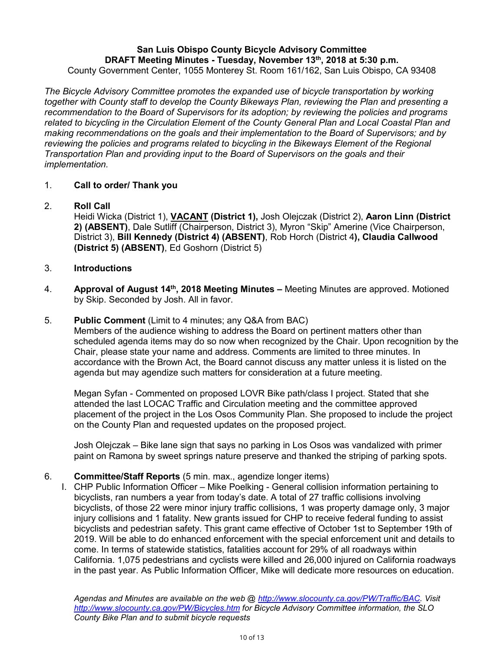#### **San Luis Obispo County Bicycle Advisory Committee DRAFT Meeting Minutes - Tuesday, November 13th, 2018 at 5:30 p.m.**  County Government Center, 1055 Monterey St. Room 161/162, San Luis Obispo, CA 93408

*The Bicycle Advisory Committee promotes the expanded use of bicycle transportation by working together with County staff to develop the County Bikeways Plan, reviewing the Plan and presenting a recommendation to the Board of Supervisors for its adoption; by reviewing the policies and programs related to bicycling in the Circulation Element of the County General Plan and Local Coastal Plan and making recommendations on the goals and their implementation to the Board of Supervisors; and by reviewing the policies and programs related to bicycling in the Bikeways Element of the Regional Transportation Plan and providing input to the Board of Supervisors on the goals and their implementation.*

## 1. **Call to order/ Thank you**

## 2. **Roll Call**

Heidi Wicka (District 1), **VACANT (District 1),** Josh Olejczak (District 2), **Aaron Linn (District 2) (ABSENT)**, Dale Sutliff (Chairperson, District 3), Myron "Skip" Amerine (Vice Chairperson, District 3), **Bill Kennedy (District 4) (ABSENT)**, Rob Horch (District 4**), Claudia Callwood (District 5) (ABSENT)**, Ed Goshorn (District 5)

## 3. **Introductions**

4. **Approval of August 14th, 2018 Meeting Minutes –** Meeting Minutes are approved. Motioned by Skip. Seconded by Josh. All in favor.

#### 5. **Public Comment** (Limit to 4 minutes; any Q&A from BAC)

Members of the audience wishing to address the Board on pertinent matters other than scheduled agenda items may do so now when recognized by the Chair. Upon recognition by the Chair, please state your name and address. Comments are limited to three minutes. In accordance with the Brown Act, the Board cannot discuss any matter unless it is listed on the agenda but may agendize such matters for consideration at a future meeting.

Megan Syfan - Commented on proposed LOVR Bike path/class I project. Stated that she attended the last LOCAC Traffic and Circulation meeting and the committee approved placement of the project in the Los Osos Community Plan. She proposed to include the project on the County Plan and requested updates on the proposed project.

Josh Olejczak – Bike lane sign that says no parking in Los Osos was vandalized with primer paint on Ramona by sweet springs nature preserve and thanked the striping of parking spots.

#### 6. **Committee/Staff Reports** (5 min. max., agendize longer items)

I. CHP Public Information Officer – Mike Poelking - General collision information pertaining to bicyclists, ran numbers a year from today's date. A total of 27 traffic collisions involving bicyclists, of those 22 were minor injury traffic collisions, 1 was property damage only, 3 major injury collisions and 1 fatality. New grants issued for CHP to receive federal funding to assist bicyclists and pedestrian safety. This grant came effective of October 1st to September 19th of 2019. Will be able to do enhanced enforcement with the special enforcement unit and details to come. In terms of statewide statistics, fatalities account for 29% of all roadways within California. 1,075 pedestrians and cyclists were killed and 26,000 injured on California roadways in the past year. As Public Information Officer, Mike will dedicate more resources on education.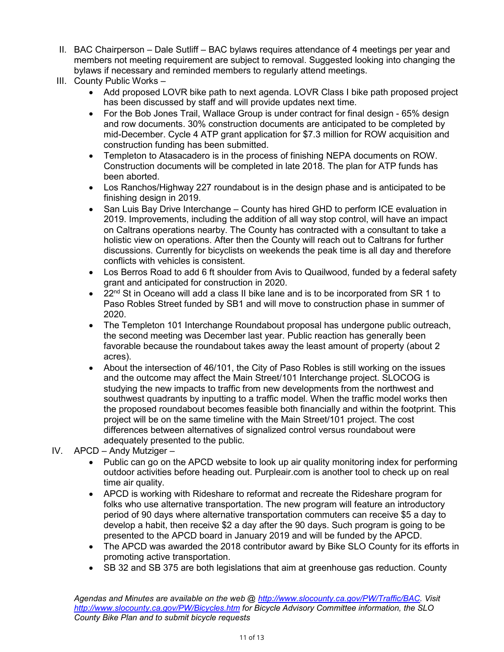- II. BAC Chairperson Dale Sutliff BAC bylaws requires attendance of 4 meetings per year and members not meeting requirement are subject to removal. Suggested looking into changing the bylaws if necessary and reminded members to regularly attend meetings.
- III. County Public Works
	- Add proposed LOVR bike path to next agenda. LOVR Class I bike path proposed project has been discussed by staff and will provide updates next time.
	- For the Bob Jones Trail, Wallace Group is under contract for final design 65% design and row documents. 30% construction documents are anticipated to be completed by mid-December. Cycle 4 ATP grant application for \$7.3 million for ROW acquisition and construction funding has been submitted.
	- Templeton to Atasacadero is in the process of finishing NEPA documents on ROW. Construction documents will be completed in late 2018. The plan for ATP funds has been aborted.
	- Los Ranchos/Highway 227 roundabout is in the design phase and is anticipated to be finishing design in 2019.
	- San Luis Bay Drive Interchange County has hired GHD to perform ICE evaluation in 2019. Improvements, including the addition of all way stop control, will have an impact on Caltrans operations nearby. The County has contracted with a consultant to take a holistic view on operations. After then the County will reach out to Caltrans for further discussions. Currently for bicyclists on weekends the peak time is all day and therefore conflicts with vehicles is consistent.
	- Los Berros Road to add 6 ft shoulder from Avis to Quailwood, funded by a federal safety grant and anticipated for construction in 2020.
	- 22<sup>nd</sup> St in Oceano will add a class II bike lane and is to be incorporated from SR 1 to Paso Robles Street funded by SB1 and will move to construction phase in summer of 2020.
	- The Templeton 101 Interchange Roundabout proposal has undergone public outreach, the second meeting was December last year. Public reaction has generally been favorable because the roundabout takes away the least amount of property (about 2 acres).
	- About the intersection of 46/101, the City of Paso Robles is still working on the issues and the outcome may affect the Main Street/101 Interchange project. SLOCOG is studying the new impacts to traffic from new developments from the northwest and southwest quadrants by inputting to a traffic model. When the traffic model works then the proposed roundabout becomes feasible both financially and within the footprint. This project will be on the same timeline with the Main Street/101 project. The cost differences between alternatives of signalized control versus roundabout were adequately presented to the public.
- IV. APCD Andy Mutziger
	- Public can go on the APCD website to look up air quality monitoring index for performing outdoor activities before heading out. Purpleair.com is another tool to check up on real time air quality.
	- APCD is working with Rideshare to reformat and recreate the Rideshare program for folks who use alternative transportation. The new program will feature an introductory period of 90 days where alternative transportation commuters can receive \$5 a day to develop a habit, then receive \$2 a day after the 90 days. Such program is going to be presented to the APCD board in January 2019 and will be funded by the APCD.
	- The APCD was awarded the 2018 contributor award by Bike SLO County for its efforts in promoting active transportation.
	- SB 32 and SB 375 are both legislations that aim at greenhouse gas reduction. County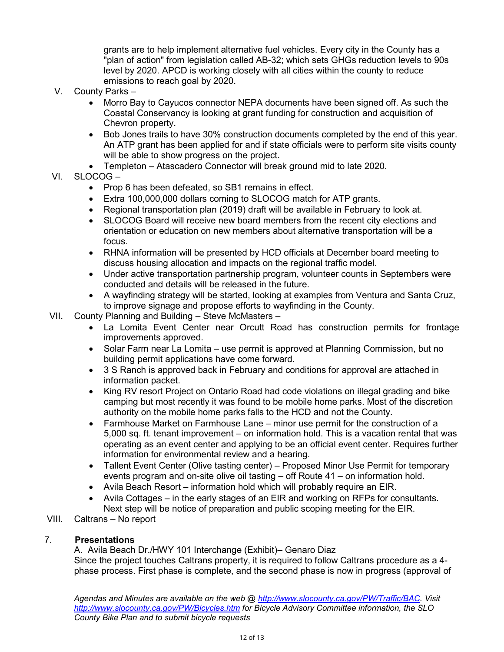grants are to help implement alternative fuel vehicles. Every city in the County has a "plan of action" from legislation called AB-32; which sets GHGs reduction levels to 90s level by 2020. APCD is working closely with all cities within the county to reduce emissions to reach goal by 2020.

- V. County Parks
	- Morro Bay to Cayucos connector NEPA documents have been signed off. As such the Coastal Conservancy is looking at grant funding for construction and acquisition of Chevron property.
	- Bob Jones trails to have 30% construction documents completed by the end of this year. An ATP grant has been applied for and if state officials were to perform site visits county will be able to show progress on the project.
	- Templeton Atascadero Connector will break ground mid to late 2020.
- VI. SLOCOG
	- Prop 6 has been defeated, so SB1 remains in effect.
	- Extra 100,000,000 dollars coming to SLOCOG match for ATP grants.
	- Regional transportation plan (2019) draft will be available in February to look at.
	- SLOCOG Board will receive new board members from the recent city elections and orientation or education on new members about alternative transportation will be a focus.
	- RHNA information will be presented by HCD officials at December board meeting to discuss housing allocation and impacts on the regional traffic model.
	- Under active transportation partnership program, volunteer counts in Septembers were conducted and details will be released in the future.
	- A wayfinding strategy will be started, looking at examples from Ventura and Santa Cruz, to improve signage and propose efforts to wayfinding in the County.
- VII. County Planning and Building Steve McMasters
	- La Lomita Event Center near Orcutt Road has construction permits for frontage improvements approved.
	- Solar Farm near La Lomita use permit is approved at Planning Commission, but no building permit applications have come forward.
	- 3 S Ranch is approved back in February and conditions for approval are attached in information packet.
	- King RV resort Project on Ontario Road had code violations on illegal grading and bike camping but most recently it was found to be mobile home parks. Most of the discretion authority on the mobile home parks falls to the HCD and not the County.
	- Farmhouse Market on Farmhouse Lane minor use permit for the construction of a 5,000 sq. ft. tenant improvement – on information hold. This is a vacation rental that was operating as an event center and applying to be an official event center. Requires further information for environmental review and a hearing.
	- Tallent Event Center (Olive tasting center) Proposed Minor Use Permit for temporary events program and on-site olive oil tasting – off Route 41 – on information hold.
	- Avila Beach Resort information hold which will probably require an EIR.
	- Avila Cottages in the early stages of an EIR and working on RFPs for consultants. Next step will be notice of preparation and public scoping meeting for the EIR.
- VIII. Caltrans No report

## 7. **Presentations**

A. Avila Beach Dr./HWY 101 Interchange (Exhibit)– Genaro Diaz Since the project touches Caltrans property, it is required to follow Caltrans procedure as a 4 phase process. First phase is complete, and the second phase is now in progress (approval of